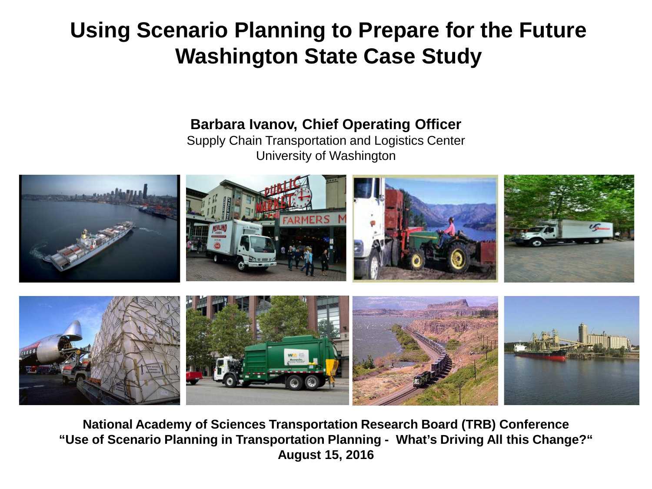### **Using Scenario Planning to Prepare for the Future Washington State Case Study**

### **Barbara Ivanov, Chief Operating Officer**

Supply Chain Transportation and Logistics Center University of Washington



**National Academy of Sciences Transportation Research Board (TRB) Conference "Use of Scenario Planning in Transportation Planning - What's Driving All this Change?" August 15, 2016**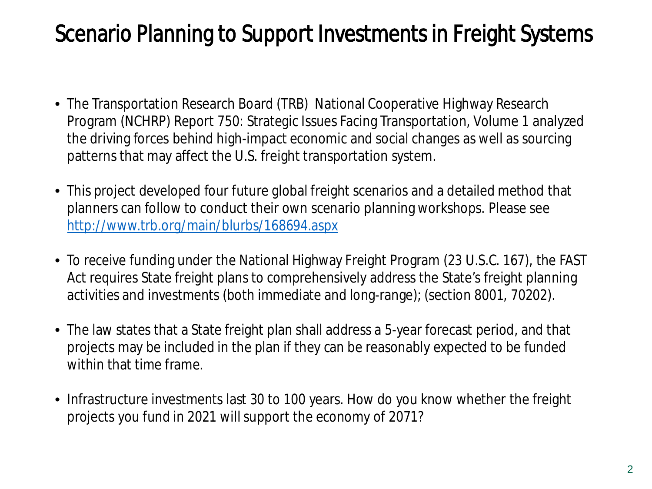## Scenario Planning to Support Investments in Freight Systems

- The Transportation Research Board (TRB) National Cooperative Highway Research Program (NCHRP) Report 750: Strategic Issues Facing Transportation, Volume 1 analyzed the driving forces behind high-impact economic and social changes as well as sourcing patterns that may affect the U.S. freight transportation system.
- This project developed four future global freight scenarios and a detailed method that planners can follow to conduct their own scenario planning workshops. Please see <http://www.trb.org/main/blurbs/168694.aspx>
- To receive funding under the National Highway Freight Program (23 U.S.C. 167), the FAST Act requires State freight plans to comprehensively address the State's freight planning activities and investments (both immediate and long-range); (section 8001, 70202).
- The law states that a State freight plan shall address a 5-year forecast period, and that projects may be included in the plan if they can be reasonably expected to be funded within that time frame.
- Infrastructure investments last 30 to 100 years. How do you know whether the freight projects you fund in 2021 will support the economy of 2071?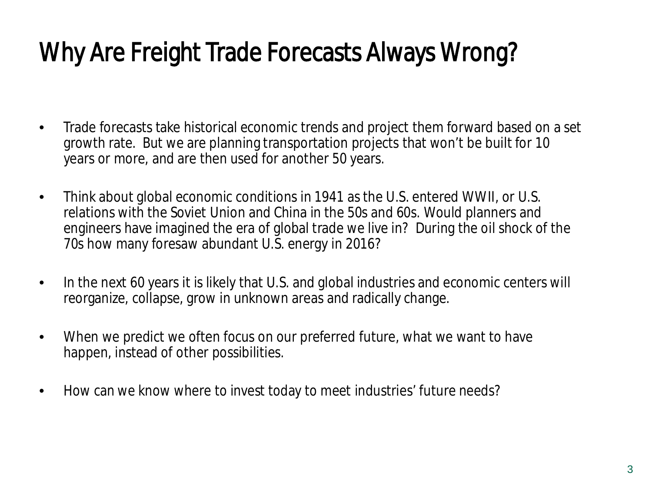# Why Are Freight Trade Forecasts Always Wrong?

- Trade forecasts take historical economic trends and project them forward based on a set growth rate. But we are planning transportation projects that won't be built for 10 years or more, and are then used for another 50 years.
- Think about global economic conditions in 1941 as the U.S. entered WWII, or U.S. relations with the Soviet Union and China in the 50s and 60s. Would planners and engineers have imagined the era of global trade we live in? During the oil shock of the 70s how many foresaw abundant U.S. energy in 2016?
- In the next 60 years it is likely that U.S. and global industries and economic centers will reorganize, collapse, grow in unknown areas and radically change.
- When we predict we often focus on our preferred future, what we want to have happen, instead of other possibilities.
- How can we know where to invest today to meet industries' future needs?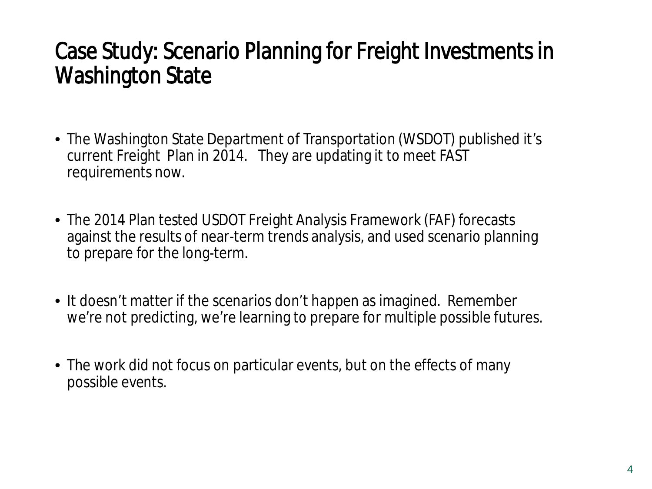## Case Study: Scenario Planning for Freight Investments in Washington State

- The Washington State Department of Transportation (WSDOT) published it's current Freight Plan in 2014. They are updating it to meet FAST requirements now.
- The 2014 Plan tested USDOT Freight Analysis Framework (FAF) forecasts against the results of near-term trends analysis, and used scenario planning to prepare for the long-term.
- It doesn't matter if the scenarios don't happen as imagined. Remember we're not predicting, we're learning to prepare for multiple possible futures.
- The work did not focus on particular events, but on the effects of many possible events.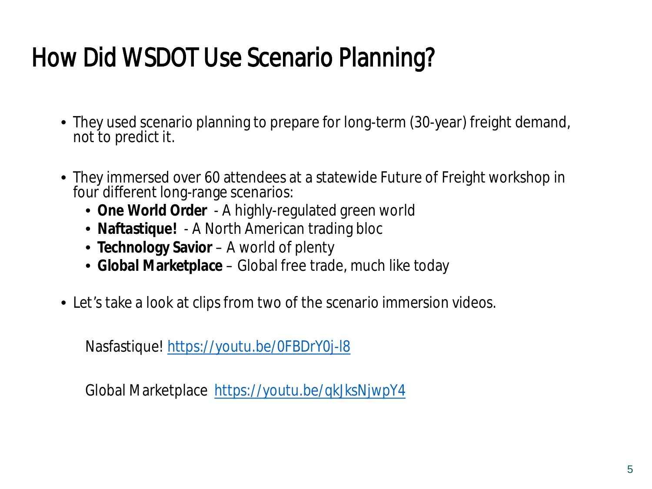# How Did WSDOT Use Scenario Planning?

- They used scenario planning to prepare for long-term (30-year) freight demand, not to predict it.
- They immersed over 60 attendees at a statewide Future of Freight workshop in four different long-range scenarios:
	- **One World Order**  A highly-regulated green world
	- **Naftastique!**  A North American trading bloc
	- **Technology Savior**  A world of plenty
	- **Global Marketplace**  Global free trade, much like today
- Let's take a look at clips from two of the scenario immersion videos.

Nasfastique! <https://youtu.be/0FBDrY0j-l8>

Global Marketplace <https://youtu.be/qkJksNjwpY4>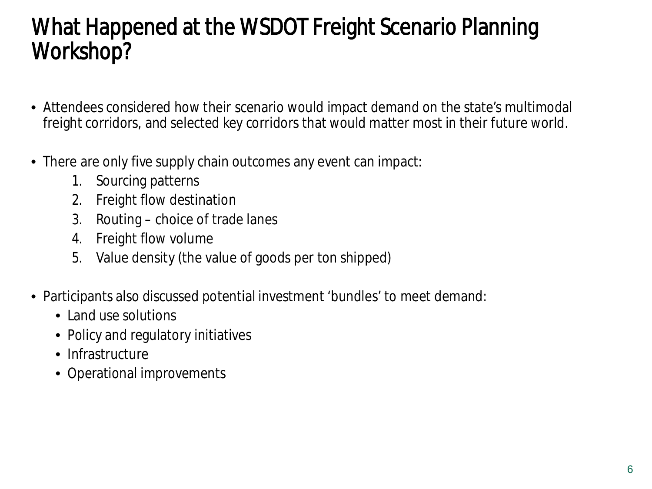## What Happened at the WSDOT Freight Scenario Planning Workshop?

- Attendees considered how their scenario would impact demand on the state's multimodal freight corridors, and selected key corridors that would matter most in their future world.
- There are only five supply chain outcomes any event can impact:
	- 1. Sourcing patterns
	- 2. Freight flow destination
	- 3. Routing choice of trade lanes
	- 4. Freight flow volume
	- 5. Value density (the value of goods per ton shipped)
- Participants also discussed potential investment 'bundles' to meet demand:
	- Land use solutions
	- Policy and regulatory initiatives
	- Infrastructure
	- Operational improvements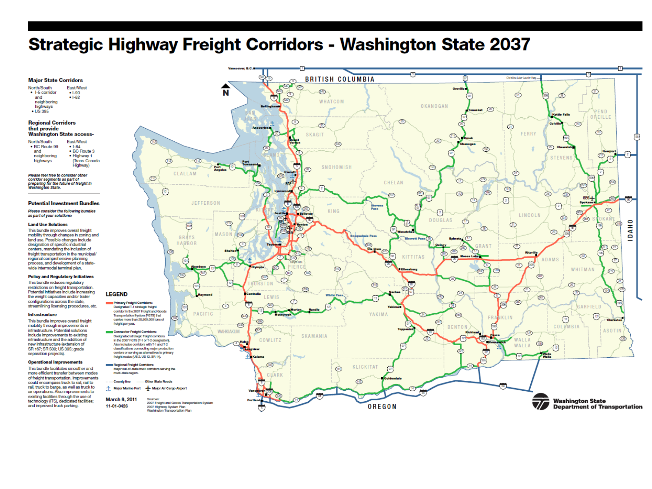### **Strategic Highway Freight Corridors - Washington State 2037**

#### **Major State Corridors**

North/South East/West • I-5 corridor  $• 1 - 90$ and  $• 1-82$ neighboring highways  $\cdot$  US 395

#### **Regional Corridors** that provide **Washington State access-**

| North/South   | East/West     |
|---------------|---------------|
| • BC Route 99 | $-1-84$       |
| and           | • BC Route 3  |
| neighboring   | · Highway 1   |
| highways      | (Trans-Canada |
|               | Highway)      |
|               |               |

Please feel free to consider other corridor segments as part of<br>preparing for the future of freight in<br>Washington State.

#### **Potential Investment Bundles**

Please consider the following bundles as part of your solutions:

#### **Land Use Solutions**

This bundle improves overall freight mobility through changes in zoning and land use. Possible changes include designation of specific industrial centers, mandating the inclusion of freight transportation in the municipal regional comprehensive planning process, and development of a state wide intermodal terminal plan.

#### **Policy and Regulatory Initiatives**

This bundle reduces regulatory restrictions on freight transportation. Potential initiatives include increasing the weight capacities and/or trailer configurations across the state, streamlining licensing procedures, etc.

#### Infrastructure

This bundle improves overall freight mobility through improvements in infrastructure. Potential solutions include improvements to existing infrastructure and the addition of new infrastructure (extension of SR 167; SR 509; US 395; grade separation projects).

#### **Operational Improvements**

This bundle facilitates smoother and more efficient transfer between modes of freight transportation. Improvements could encompass truck to rail, rail to rail, truck to barge, as well as truck to air operations. Also improvements to existing facilities through the use of technology (ITS), dedicated facilities; and improved truck parking.

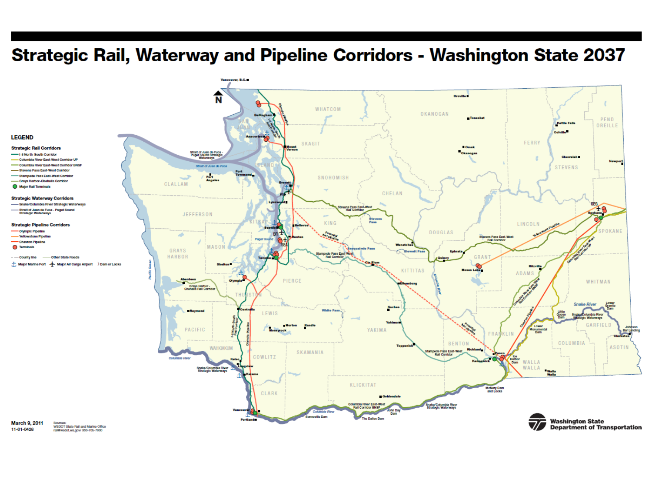### Strategic Rail, Waterway and Pipeline Corridors - Washington State 2037



#### **Strategic Rail Corridors**

- **Control L.C. Month, South Contrice**
- Columbia River East-West Corridor UP Columbia River East-West Corridor BNSF
- Stevens Pass East-West Corridor
- pede Pass East-West Corrido
- -<br>- Grays Harbor-Chehalis Corridor
- Major Rail Terminals

#### **Strategic Waterway Corridors**

- Snake/Columbia River Strategic Waterways
- Strait of Juan de Fuca Puget Sound<br>- Strategic Waterways

#### **Strategic Pipeline Corridors**

- Olympic Pipeline
- **Yellowstone Pipeline**
- Chevron Pipeline
- **C** Terminals
- Other State Road
- Major Marine Port | Major Air Cargo Airport | Dam or Locks

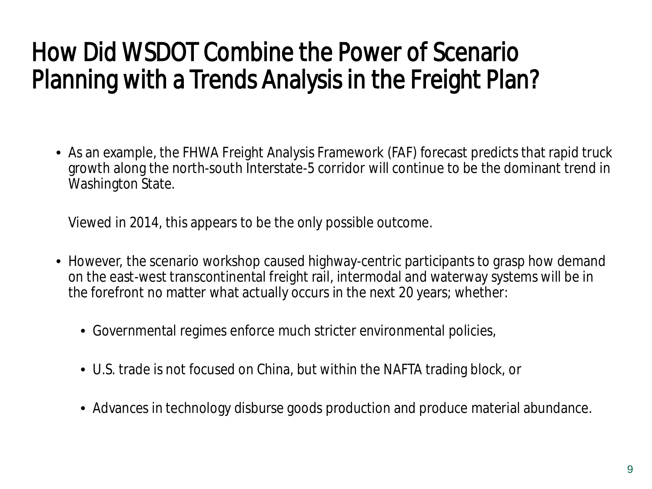# How Did WSDOT Combine the Power of Scenario Planning with a Trends Analysis in the Freight Plan?

• As an example, the FHWA Freight Analysis Framework (FAF) forecast predicts that rapid truck growth along the north-south Interstate-5 corridor will continue to be the dominant trend in Washington State.

Viewed in 2014, this appears to be the only possible outcome.

- However, the scenario workshop caused highway-centric participants to grasp how demand on the east-west transcontinental freight rail, intermodal and waterway systems will be in the forefront no matter what actually occurs in the next 20 years; whether:
	- Governmental regimes enforce much stricter environmental policies,
	- U.S. trade is not focused on China, but within the NAFTA trading block, or
	- Advances in technology disburse goods production and produce material abundance.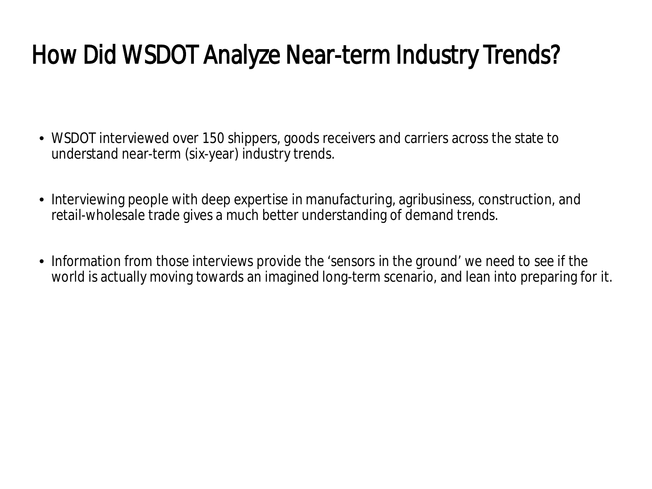# How Did WSDOT Analyze Near-term Industry Trends?

- WSDOT interviewed over 150 shippers, goods receivers and carriers across the state to understand near-term (six-year) industry trends.
- Interviewing people with deep expertise in manufacturing, agribusiness, construction, and retail-wholesale trade gives a much better understanding of demand trends.
- Information from those interviews provide the 'sensors in the ground' we need to see if the world is actually moving towards an imagined long-term scenario, and lean into preparing for it.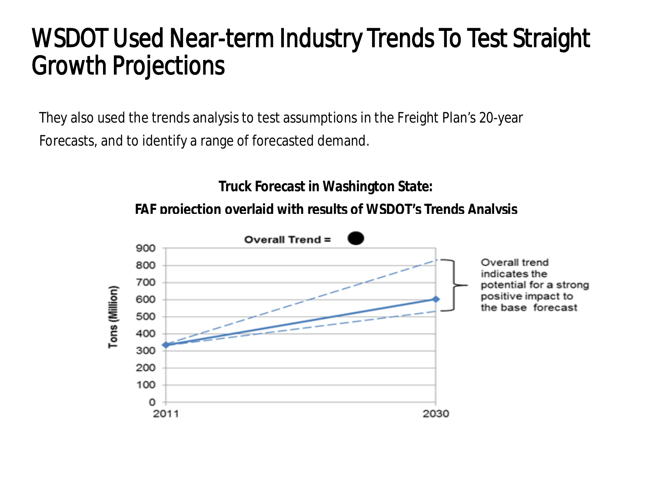## WSDOT Used Near-term Industry Trends To Test Straight Growth Projections

They also used the trends analysis to test assumptions in the Freight Plan's 20-year Forecasts, and to identify a range of forecasted demand.

**Truck Forecast in Washington State:**

**FAF projection overlaid with results of WSDOT's Trends Analysis**

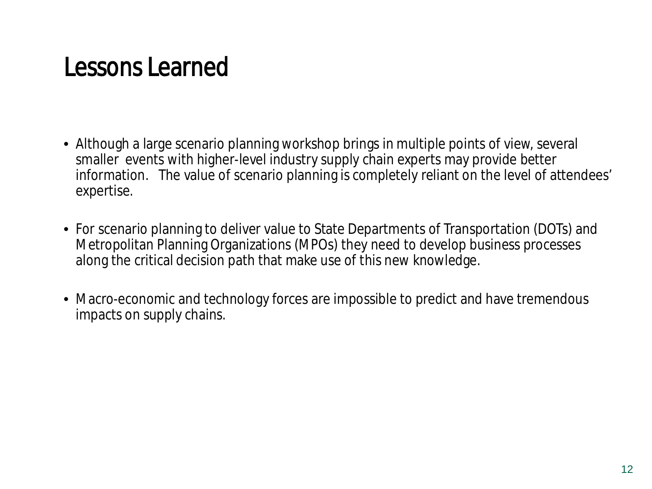# Lessons Learned

- Although a large scenario planning workshop brings in multiple points of view, several smaller events with higher-level industry supply chain experts may provide better information. The value of scenario planning is completely reliant on the level of attendees' expertise.
- For scenario planning to deliver value to State Departments of Transportation (DOTs) and Metropolitan Planning Organizations (MPOs) they need to develop business processes along the critical decision path that make use of this new knowledge.
- Macro-economic and technology forces are impossible to predict and have tremendous impacts on supply chains.